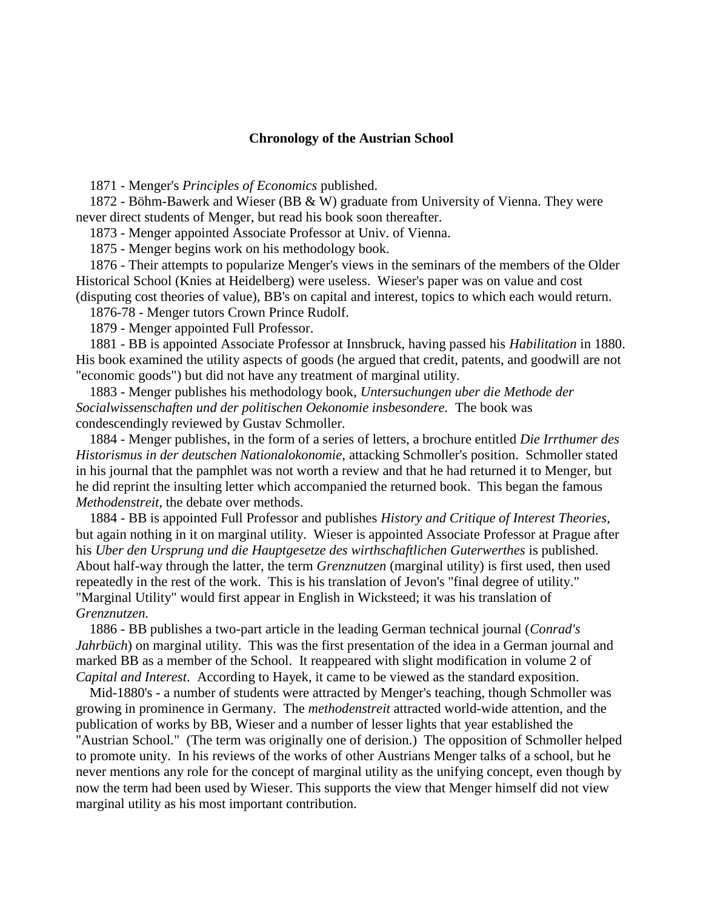## **Chronology of the Austrian School**

1871 - Menger's *Principles of Economics* published.

 1872 - Böhm-Bawerk and Wieser (BB & W) graduate from University of Vienna. They were never direct students of Menger, but read his book soon thereafter.

1873 - Menger appointed Associate Professor at Univ. of Vienna.

1875 - Menger begins work on his methodology book.

 1876 - Their attempts to popularize Menger's views in the seminars of the members of the Older Historical School (Knies at Heidelberg) were useless. Wieser's paper was on value and cost (disputing cost theories of value), BB's on capital and interest, topics to which each would return.

1876-78 - Menger tutors Crown Prince Rudolf.

1879 - Menger appointed Full Professor.

 1881 - BB is appointed Associate Professor at Innsbruck, having passed his *Habilitation* in 1880. His book examined the utility aspects of goods (he argued that credit, patents, and goodwill are not "economic goods") but did not have any treatment of marginal utility.

 1883 - Menger publishes his methodology book, *Untersuchungen uber die Methode der Socialwissenschaften und der politischen Oekonomie insbesondere.* The book was condescendingly reviewed by Gustav Schmoller.

 1884 - Menger publishes, in the form of a series of letters, a brochure entitled *Die Irrthumer des Historismus in der deutschen Nationalokonomie,* attacking Schmoller's position. Schmoller stated in his journal that the pamphlet was not worth a review and that he had returned it to Menger, but he did reprint the insulting letter which accompanied the returned book. This began the famous *Methodenstreit*, the debate over methods.

 1884 - BB is appointed Full Professor and publishes *History and Critique of Interest Theories,* but again nothing in it on marginal utility. Wieser is appointed Associate Professor at Prague after his *Uber den Ursprung und die Hauptgesetze des wirthschaftlichen Guterwerthes* is published. About half-way through the latter, the term *Grenznutzen* (marginal utility) is first used, then used repeatedly in the rest of the work. This is his translation of Jevon's "final degree of utility." "Marginal Utility" would first appear in English in Wicksteed; it was his translation of *Grenznutzen.*

 1886 - BB publishes a two-part article in the leading German technical journal (*Conrad's Jahrbüch*) on marginal utility. This was the first presentation of the idea in a German journal and marked BB as a member of the School. It reappeared with slight modification in volume 2 of *Capital and Interest*. According to Hayek, it came to be viewed as the standard exposition.

 Mid-1880's - a number of students were attracted by Menger's teaching, though Schmoller was growing in prominence in Germany. The *methodenstreit* attracted world-wide attention, and the publication of works by BB, Wieser and a number of lesser lights that year established the "Austrian School." (The term was originally one of derision.) The opposition of Schmoller helped to promote unity. In his reviews of the works of other Austrians Menger talks of a school, but he never mentions any role for the concept of marginal utility as the unifying concept, even though by now the term had been used by Wieser. This supports the view that Menger himself did not view marginal utility as his most important contribution.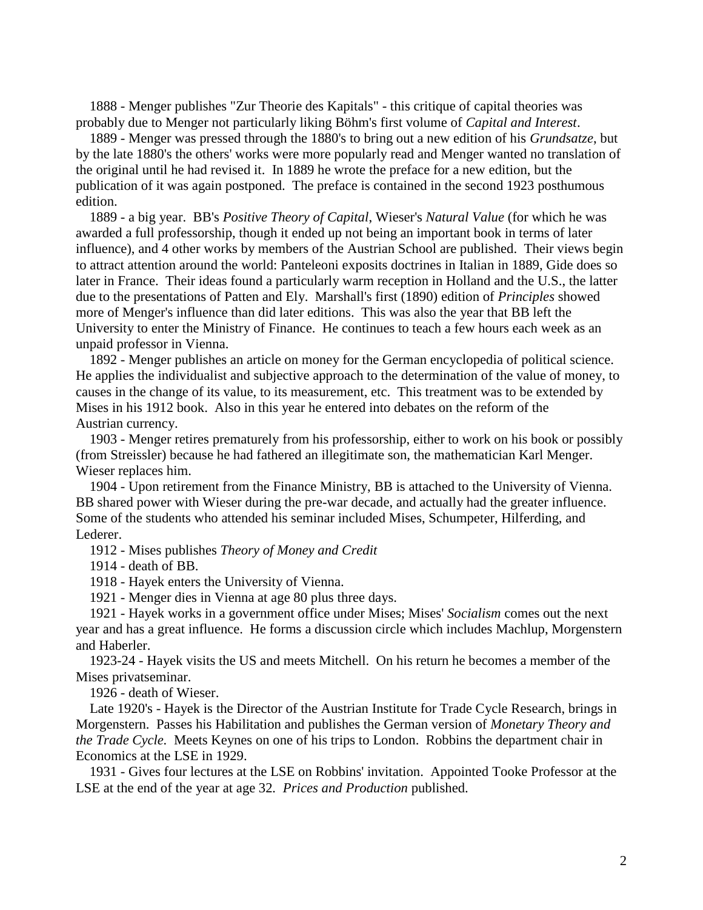1888 - Menger publishes "Zur Theorie des Kapitals" - this critique of capital theories was probably due to Menger not particularly liking Böhm's first volume of *Capital and Interest*.

 1889 - Menger was pressed through the 1880's to bring out a new edition of his *Grundsatze*, but by the late 1880's the others' works were more popularly read and Menger wanted no translation of the original until he had revised it. In 1889 he wrote the preface for a new edition, but the publication of it was again postponed. The preface is contained in the second 1923 posthumous edition.

 1889 - a big year. BB's *Positive Theory of Capital*, Wieser's *Natural Value* (for which he was awarded a full professorship, though it ended up not being an important book in terms of later influence), and 4 other works by members of the Austrian School are published. Their views begin to attract attention around the world: Panteleoni exposits doctrines in Italian in 1889, Gide does so later in France. Their ideas found a particularly warm reception in Holland and the U.S., the latter due to the presentations of Patten and Ely. Marshall's first (1890) edition of *Principles* showed more of Menger's influence than did later editions. This was also the year that BB left the University to enter the Ministry of Finance. He continues to teach a few hours each week as an unpaid professor in Vienna.

 1892 - Menger publishes an article on money for the German encyclopedia of political science. He applies the individualist and subjective approach to the determination of the value of money, to causes in the change of its value, to its measurement, etc. This treatment was to be extended by Mises in his 1912 book. Also in this year he entered into debates on the reform of the Austrian currency.

 1903 - Menger retires prematurely from his professorship, either to work on his book or possibly (from Streissler) because he had fathered an illegitimate son, the mathematician Karl Menger. Wieser replaces him.

 1904 - Upon retirement from the Finance Ministry, BB is attached to the University of Vienna. BB shared power with Wieser during the pre-war decade, and actually had the greater influence. Some of the students who attended his seminar included Mises, Schumpeter, Hilferding, and Lederer.

1912 - Mises publishes *Theory of Money and Credit*

1914 - death of BB.

1918 - Hayek enters the University of Vienna.

1921 - Menger dies in Vienna at age 80 plus three days.

 1921 - Hayek works in a government office under Mises; Mises' *Socialism* comes out the next year and has a great influence. He forms a discussion circle which includes Machlup, Morgenstern and Haberler.

 1923-24 - Hayek visits the US and meets Mitchell. On his return he becomes a member of the Mises privatseminar.

1926 - death of Wieser.

 Late 1920's - Hayek is the Director of the Austrian Institute for Trade Cycle Research, brings in Morgenstern. Passes his Habilitation and publishes the German version of *Monetary Theory and the Trade Cycle.* Meets Keynes on one of his trips to London. Robbins the department chair in Economics at the LSE in 1929.

 1931 - Gives four lectures at the LSE on Robbins' invitation. Appointed Tooke Professor at the LSE at the end of the year at age 32*. Prices and Production* published.